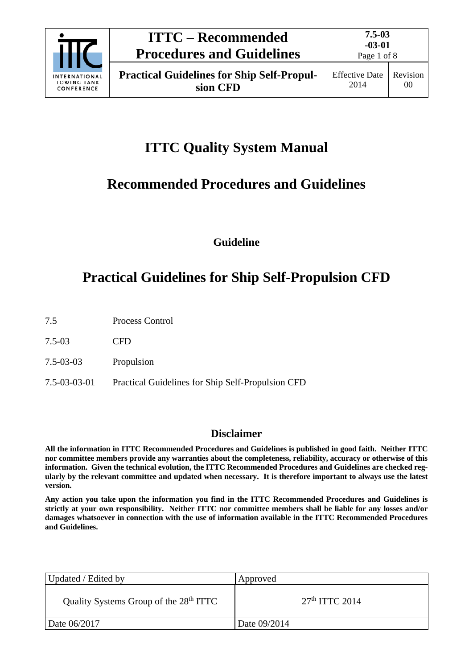

# **ITTC Quality System Manual**

# **Recommended Procedures and Guidelines**

**Guideline**

# **Practical Guidelines for Ship Self-Propulsion CFD**

- 7.5 Process Control
- 7.5-03 CFD
- 7.5-03-03 Propulsion
- 7.5-03-03-01 Practical Guidelines for Ship Self-Propulsion CFD

# **Disclaimer**

**All the information in ITTC Recommended Procedures and Guidelines is published in good faith. Neither ITTC nor committee members provide any warranties about the completeness, reliability, accuracy or otherwise of this information. Given the technical evolution, the ITTC Recommended Procedures and Guidelines are checked regularly by the relevant committee and updated when necessary. It is therefore important to always use the latest version.**

**Any action you take upon the information you find in the ITTC Recommended Procedures and Guidelines is strictly at your own responsibility. Neither ITTC nor committee members shall be liable for any losses and/or damages whatsoever in connection with the use of information available in the ITTC Recommended Procedures and Guidelines.**

| Updated / Edited by                                | Approved         |
|----------------------------------------------------|------------------|
| Quality Systems Group of the 28 <sup>th</sup> ITTC | $27th$ ITTC 2014 |
| Date 06/2017                                       | Date 09/2014     |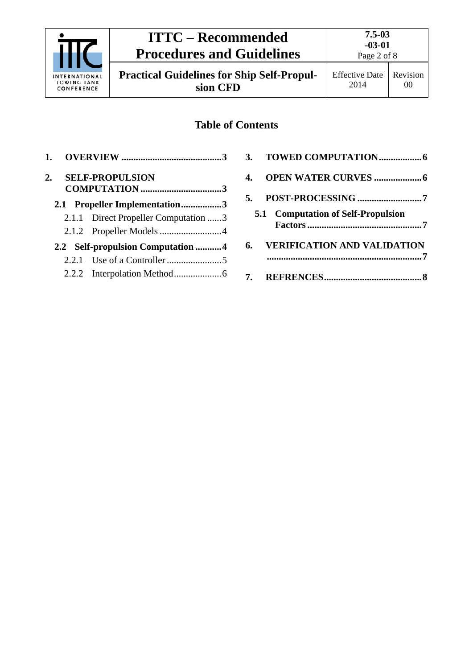

**Practical Guidelines for Ship Self-Propulsion CFD**

# **Table of Contents**

| 1. |                                      | 3. | T(  |
|----|--------------------------------------|----|-----|
| 2. | <b>SELF-PROPULSION</b>               | 4. | Ol  |
|    |                                      |    |     |
|    | 2.1 Propeller Implementation3        | 5. | P(  |
|    | 2.1.1 Direct Propeller Computation 3 |    | 5.1 |
|    |                                      |    |     |
|    | 2.2 Self-propulsion Computation 4    | 6. | Vl  |
|    |                                      |    |     |
|    |                                      |    | R۱  |
|    |                                      |    |     |

| 5. |                                           |
|----|-------------------------------------------|
|    | <b>5.1 Computation of Self-Propulsion</b> |
|    | 6. VERIFICATION AND VALIDATION            |
|    |                                           |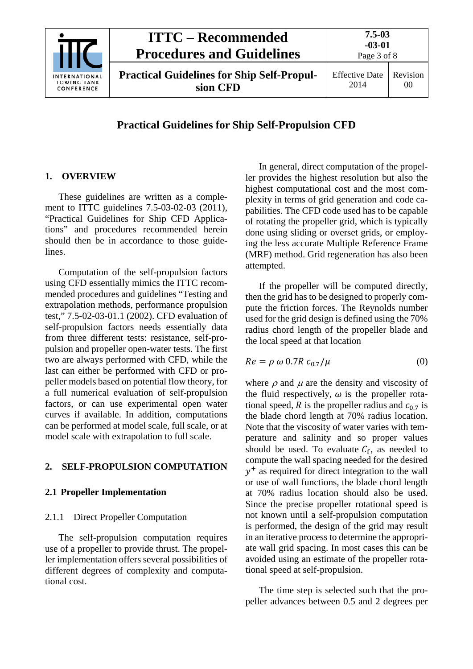|                                                          | <b>ITTC</b> – Recommended<br><b>Procedures and Guidelines</b> | $7.5 - 03$<br>$-03-01$<br>Page 3 of 8 |                |
|----------------------------------------------------------|---------------------------------------------------------------|---------------------------------------|----------------|
| <b>INTERNATIONAL</b><br><b>TOWING TANK</b><br>CONFERENCE | <b>Practical Guidelines for Ship Self-Propul-</b><br>sion CFD | <b>Effective Date</b><br>2014         | Revision<br>00 |

# **Practical Guidelines for Ship Self-Propulsion CFD**

# <span id="page-2-0"></span>**1. OVERVIEW**

These guidelines are written as a complement to ITTC guidelines 7.5-03-02-03 (2011), "Practical Guidelines for Ship CFD Applications" and procedures recommended herein should then be in accordance to those guidelines.

Computation of the self-propulsion factors using CFD essentially mimics the ITTC recommended procedures and guidelines "Testing and extrapolation methods, performance propulsion test," 7.5-02-03-01.1 (2002). CFD evaluation of self-propulsion factors needs essentially data from three different tests: resistance, self-propulsion and propeller open-water tests. The first two are always performed with CFD, while the last can either be performed with CFD or propeller models based on potential flow theory, for a full numerical evaluation of self-propulsion factors, or can use experimental open water curves if available. In addition, computations can be performed at model scale, full scale, or at model scale with extrapolation to full scale.

## <span id="page-2-2"></span><span id="page-2-1"></span>**2. SELF-PROPULSION COMPUTATION**

#### <span id="page-2-3"></span>**2.1 Propeller Implementation**

## 2.1.1 Direct Propeller Computation

The self-propulsion computation requires use of a propeller to provide thrust. The propeller implementation offers several possibilities of different degrees of complexity and computational cost.

In general, direct computation of the propeller provides the highest resolution but also the highest computational cost and the most complexity in terms of grid generation and code capabilities. The CFD code used has to be capable of rotating the propeller grid, which is typically done using sliding or overset grids, or employing the less accurate Multiple Reference Frame (MRF) method. Grid regeneration has also been attempted.

If the propeller will be computed directly, then the grid has to be designed to properly compute the friction forces. The Reynolds number used for the grid design is defined using the 70% radius chord length of the propeller blade and the local speed at that location

$$
Re = \rho \omega 0.7R c_{0.7}/\mu \tag{0}
$$

where  $\rho$  and  $\mu$  are the density and viscosity of the fluid respectively,  $\omega$  is the propeller rotational speed, R is the propeller radius and  $c_{0.7}$  is the blade chord length at 70% radius location. Note that the viscosity of water varies with temperature and salinity and so proper values should be used. To evaluate  $C_f$ , as needed to compute the wall spacing needed for the desired  $y^+$  as required for direct integration to the wall or use of wall functions, the blade chord length at 70% radius location should also be used. Since the precise propeller rotational speed is not known until a self-propulsion computation is performed, the design of the grid may result in an iterative process to determine the appropriate wall grid spacing. In most cases this can be avoided using an estimate of the propeller rotational speed at self-propulsion.

The time step is selected such that the propeller advances between 0.5 and 2 degrees per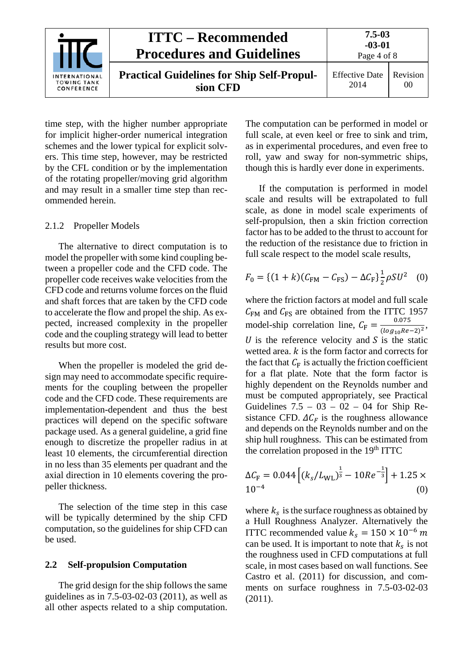|                                                          | <b>ITTC – Recommended</b><br><b>Procedures and Guidelines</b> | $7.5 - 03$<br>$-03-01$<br>Page 4 of 8 |                |
|----------------------------------------------------------|---------------------------------------------------------------|---------------------------------------|----------------|
| <b>INTERNATIONAL</b><br><b>TOWING TANK</b><br>CONFERENCE | <b>Practical Guidelines for Ship Self-Propul-</b><br>sion CFD | <b>Effective Date</b><br>2014         | Revision<br>00 |

time step, with the higher number appropriate for implicit higher-order numerical integration schemes and the lower typical for explicit solvers. This time step, however, may be restricted by the CFL condition or by the implementation of the rotating propeller/moving grid algorithm and may result in a smaller time step than recommended herein.

#### <span id="page-3-0"></span>2.1.2 Propeller Models

The alternative to direct computation is to model the propeller with some kind coupling between a propeller code and the CFD code. The propeller code receives wake velocities from the CFD code and returns volume forces on the fluid and shaft forces that are taken by the CFD code to accelerate the flow and propel the ship. As expected, increased complexity in the propeller code and the coupling strategy will lead to better results but more cost.

When the propeller is modeled the grid design may need to accommodate specific requirements for the coupling between the propeller code and the CFD code. These requirements are implementation-dependent and thus the best practices will depend on the specific software package used. As a general guideline, a grid fine enough to discretize the propeller radius in at least 10 elements, the circumferential direction in no less than 35 elements per quadrant and the axial direction in 10 elements covering the propeller thickness.

The selection of the time step in this case will be typically determined by the ship CFD computation, so the guidelines for ship CFD can be used.

## <span id="page-3-1"></span>**2.2 Self-propulsion Computation**

The grid design for the ship follows the same guidelines as in 7.5-03-02-03 (2011), as well as all other aspects related to a ship computation.

The computation can be performed in model or full scale, at even keel or free to sink and trim, as in experimental procedures, and even free to roll, yaw and sway for non-symmetric ships, though this is hardly ever done in experiments.

If the computation is performed in model scale and results will be extrapolated to full scale, as done in model scale experiments of self-propulsion, then a skin friction correction factor has to be added to the thrust to account for the reduction of the resistance due to friction in full scale respect to the model scale results,

$$
F_0 = \{ (1 + k)(C_{\text{FM}} - C_{\text{FS}}) - \Delta C_{\text{F}} \} \frac{1}{2} \rho S U^2 \quad (0)
$$

where the friction factors at model and full scale  $C_{FM}$  and  $C_{FS}$  are obtained from the ITTC 1957 model-ship correlation line,  $C_F = \frac{0.075}{(\log_{10} Re - 2)^2}$ ,  $U$  is the reference velocity and  $S$  is the static wetted area.  $k$  is the form factor and corrects for the fact that  $C_F$  is actually the friction coefficient for a flat plate. Note that the form factor is highly dependent on the Reynolds number and must be computed appropriately, see Practical Guidelines  $7.5 - 03 - 02 - 04$  for Ship Resistance CFD.  $\Delta C_F$  is the roughness allowance and depends on the Reynolds number and on the ship hull roughness. This can be estimated from the correlation proposed in the 19<sup>th</sup> ITTC

$$
\Delta C_{\rm F} = 0.044 \left[ (k_s / L_{\rm WL})^{\frac{1}{3}} - 10Re^{-\frac{1}{3}} \right] + 1.25 \times 10^{-4}
$$
 (0)

where  $k_s$  is the surface roughness as obtained by a Hull Roughness Analyzer. Alternatively the ITTC recommended value  $k_s = 150 \times 10^{-6}$  m can be used. It is important to note that  $k_s$  is not the roughness used in CFD computations at full scale, in most cases based on wall functions. See Castro et al. (2011) for discussion, and comments on surface roughness in 7.5-03-02-03 (2011).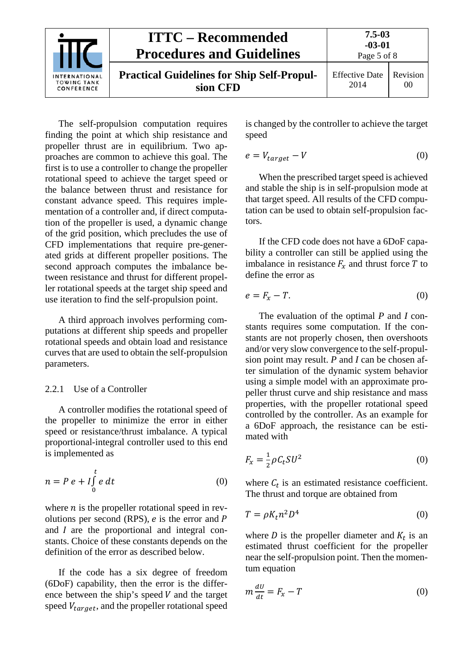| <b>INTERNATIONAL</b><br><b>TOWING TANK</b><br>CONFERENCE | <b>ITTC – Recommended</b><br><b>Procedures and Guidelines</b> | $7.5 - 03$<br>$-03-01$<br>Page 5 of 8 |                |
|----------------------------------------------------------|---------------------------------------------------------------|---------------------------------------|----------------|
|                                                          | <b>Practical Guidelines for Ship Self-Propul-</b><br>sion CFD | <b>Effective Date</b><br>2014         | Revision<br>00 |

The self-propulsion computation requires finding the point at which ship resistance and propeller thrust are in equilibrium. Two approaches are common to achieve this goal. The first is to use a controller to change the propeller rotational speed to achieve the target speed or the balance between thrust and resistance for constant advance speed. This requires implementation of a controller and, if direct computation of the propeller is used, a dynamic change of the grid position, which precludes the use of CFD implementations that require pre-generated grids at different propeller positions. The second approach computes the imbalance between resistance and thrust for different propeller rotational speeds at the target ship speed and use iteration to find the self-propulsion point.

A third approach involves performing computations at different ship speeds and propeller rotational speeds and obtain load and resistance curves that are used to obtain the self-propulsion parameters.

## <span id="page-4-0"></span>2.2.1 Use of a Controller

A controller modifies the rotational speed of the propeller to minimize the error in either speed or resistance/thrust imbalance. A typical proportional-integral controller used to this end is implemented as

$$
n = P e + I \int_{0}^{t} e dt
$$
 (0)

where  $n$  is the propeller rotational speed in revolutions per second (RPS),  $e$  is the error and  $P$ and  $I$  are the proportional and integral constants. Choice of these constants depends on the definition of the error as described below.

If the code has a six degree of freedom (6DoF) capability, then the error is the difference between the ship's speed  $V$  and the target speed  $V_{target}$ , and the propeller rotational speed is changed by the controller to achieve the target speed

$$
e = V_{target} - V \tag{0}
$$

When the prescribed target speed is achieved and stable the ship is in self-propulsion mode at that target speed. All results of the CFD computation can be used to obtain self-propulsion factors.

If the CFD code does not have a 6DoF capability a controller can still be applied using the imbalance in resistance  $F_x$  and thrust force T to define the error as

$$
e = F_x - T. \tag{0}
$$

The evaluation of the optimal *P* and *I* constants requires some computation. If the constants are not properly chosen, then overshoots and/or very slow convergence to the self-propulsion point may result. *P* and *I* can be chosen after simulation of the dynamic system behavior using a simple model with an approximate propeller thrust curve and ship resistance and mass properties, with the propeller rotational speed controlled by the controller. As an example for a 6DoF approach, the resistance can be estimated with

$$
F_x = \frac{1}{2}\rho C_t SU^2 \tag{0}
$$

where  $C_t$  is an estimated resistance coefficient. The thrust and torque are obtained from

$$
T = \rho K_t n^2 D^4 \tag{0}
$$

where  $D$  is the propeller diameter and  $K_t$  is an estimated thrust coefficient for the propeller near the self-propulsion point. Then the momentum equation

$$
m\frac{dU}{dt} = F_x - T \tag{0}
$$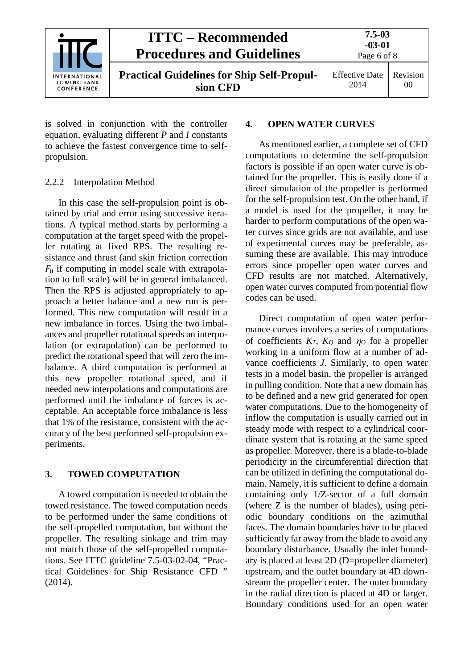

is solved in conjunction with the controller equation, evaluating different *P* and *I* constants to achieve the fastest convergence time to selfpropulsion.

# <span id="page-5-0"></span>2.2.2 Interpolation Method

In this case the self-propulsion point is obtained by trial and error using successive iterations. A typical method starts by performing a computation at the target speed with the propeller rotating at fixed RPS. The resulting resistance and thrust (and skin friction correction  $F_0$  if computing in model scale with extrapolation to full scale) will be in general imbalanced. Then the RPS is adjusted appropriately to approach a better balance and a new run is performed. This new computation will result in a new imbalance in forces. Using the two imbalances and propeller rotational speeds an interpolation (or extrapolation) can be performed to predict the rotational speed that will zero the imbalance. A third computation is performed at this new propeller rotational speed, and if needed new interpolations and computations are performed until the imbalance of forces is acceptable. An acceptable force imbalance is less that 1% of the resistance, consistent with the accuracy of the best performed self-propulsion experiments.

# <span id="page-5-1"></span>**3. TOWED COMPUTATION**

A towed computation is needed to obtain the towed resistance. The towed computation needs to be performed under the same conditions of the self-propelled computation, but without the propeller. The resulting sinkage and trim may not match those of the self-propelled computations. See ITTC guideline 7.5-03-02-04, "Practical Guidelines for Ship Resistance CFD " (2014).

# <span id="page-5-2"></span>**4. OPEN WATER CURVES**

As mentioned earlier, a complete set of CFD computations to determine the self-propulsion factors is possible if an open water curve is obtained for the propeller. This is easily done if a direct simulation of the propeller is performed for the self-propulsion test. On the other hand, if a model is used for the propeller, it may be harder to perform computations of the open water curves since grids are not available, and use of experimental curves may be preferable, assuming these are available. This may introduce errors since propeller open water curves and CFD results are not matched. Alternatively, open water curves computed from potential flow codes can be used.

Direct computation of open water performance curves involves a series of computations of coefficients  $K_T$ ,  $K_Q$  and  $n_Q$  for a propeller working in a uniform flow at a number of advance coefficients *J*. Similarly, to open water tests in a model basin, the propeller is arranged in pulling condition. Note that a new domain has to be defined and a new grid generated for open water computations. Due to the homogeneity of inflow the computation is usually carried out in steady mode with respect to a cylindrical coordinate system that is rotating at the same speed as propeller. Moreover, there is a blade-to-blade periodicity in the circumferential direction that can be utilized in defining the computational domain. Namely, it is sufficient to define a domain containing only 1/Z-sector of a full domain (where Z is the number of blades), using periodic boundary conditions on the azimuthal faces. The domain boundaries have to be placed sufficiently far away from the blade to avoid any boundary disturbance. Usually the inlet boundary is placed at least 2D (D=propeller diameter) upstream, and the outlet boundary at 4D downstream the propeller center. The outer boundary in the radial direction is placed at 4D or larger. Boundary conditions used for an open water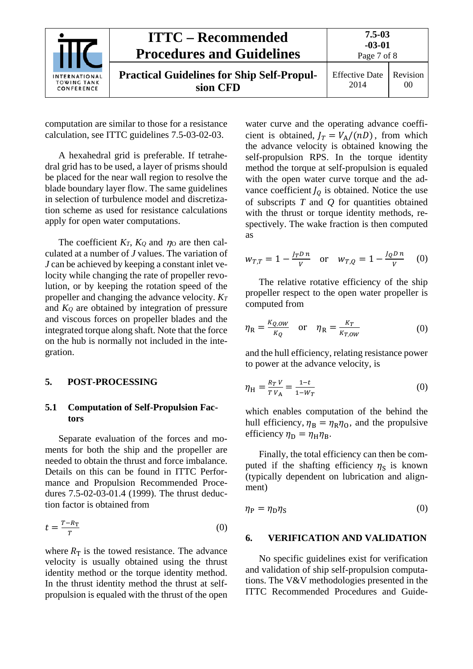|                                                          | <b>ITTC – Recommended</b><br><b>Procedures and Guidelines</b> | $7.5 - 03$<br>$-03-01$<br>Page 7 of 8 |                |
|----------------------------------------------------------|---------------------------------------------------------------|---------------------------------------|----------------|
| <b>INTERNATIONAL</b><br><b>TOWING TANK</b><br>CONFERENCE | <b>Practical Guidelines for Ship Self-Propul-</b><br>sion CFD | <b>Effective Date</b><br>2014         | Revision<br>00 |

computation are similar to those for a resistance calculation, see ITTC guidelines 7.5-03-02-03.

A hexahedral grid is preferable. If tetrahedral grid has to be used, a layer of prisms should be placed for the near wall region to resolve the blade boundary layer flow. The same guidelines in selection of turbulence model and discretization scheme as used for resistance calculations apply for open water computations.

The coefficient  $K_T$ ,  $K_Q$  and  $\eta$  are then calculated at a number of *J* values. The variation of *J* can be achieved by keeping a constant inlet velocity while changing the rate of propeller revolution, or by keeping the rotation speed of the propeller and changing the advance velocity. *KT* and *KQ* are obtained by integration of pressure and viscous forces on propeller blades and the integrated torque along shaft. Note that the force on the hub is normally not included in the integration.

#### <span id="page-6-1"></span><span id="page-6-0"></span>**5. POST-PROCESSING**

### **5.1 Computation of Self-Propulsion Factors**

Separate evaluation of the forces and moments for both the ship and the propeller are needed to obtain the thrust and force imbalance. Details on this can be found in ITTC Performance and Propulsion Recommended Procedures 7.5-02-03-01.4 (1999). The thrust deduction factor is obtained from

$$
t = \frac{T - R_{\rm T}}{T} \tag{0}
$$

where  $R_T$  is the towed resistance. The advance velocity is usually obtained using the thrust identity method or the torque identity method. In the thrust identity method the thrust at selfpropulsion is equaled with the thrust of the open

water curve and the operating advance coefficient is obtained,  $J_T = V_A/(nD)$ , from which the advance velocity is obtained knowing the self-propulsion RPS. In the torque identity method the torque at self-propulsion is equaled with the open water curve torque and the advance coefficient  $I_0$  is obtained. Notice the use of subscripts *T* and *Q* for quantities obtained with the thrust or torque identity methods, respectively. The wake fraction is then computed as

$$
w_{T,T} = 1 - \frac{J_T D n}{V}
$$
 or  $w_{T,Q} = 1 - \frac{J_Q D n}{V}$  (0)

The relative rotative efficiency of the ship propeller respect to the open water propeller is computed from

$$
\eta_{\rm R} = \frac{\kappa_{Q,ow}}{\kappa_Q} \quad \text{or} \quad \eta_{\rm R} = \frac{\kappa_T}{\kappa_{T,ow}} \tag{0}
$$

and the hull efficiency, relating resistance power to power at the advance velocity, is

$$
\eta_{\rm H} = \frac{R_T V}{T V_{\rm A}} = \frac{1 - t}{1 - W_T} \tag{0}
$$

which enables computation of the behind the hull efficiency,  $\eta_B = \eta_R \eta_O$ , and the propulsive efficiency  $\eta_{\rm D} = \eta_{\rm H} \eta_{\rm B}$ .

Finally, the total efficiency can then be computed if the shafting efficiency  $\eta_s$  is known (typically dependent on lubrication and alignment)

<span id="page-6-2"></span>
$$
\eta_P = \eta_D \eta_S \tag{0}
$$

#### **6. VERIFICATION AND VALIDATION**

No specific guidelines exist for verification and validation of ship self-propulsion computations. The V&V methodologies presented in the ITTC Recommended Procedures and Guide-